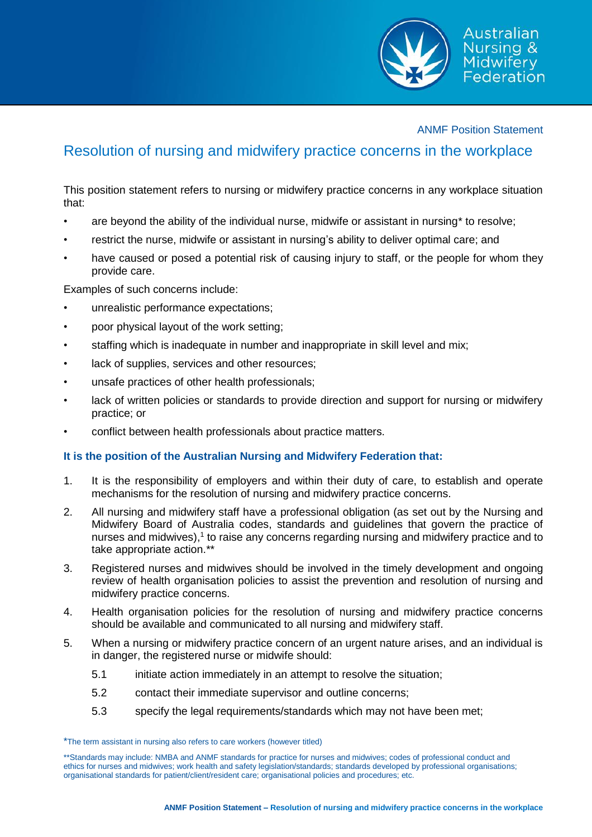

## ANMF Position Statement

## Resolution of nursing and midwifery practice concerns in the workplace

This position statement refers to nursing or midwifery practice concerns in any workplace situation that:

- are beyond the ability of the individual nurse, midwife or assistant in nursing\* to resolve;
- restrict the nurse, midwife or assistant in nursing's ability to deliver optimal care; and
- have caused or posed a potential risk of causing injury to staff, or the people for whom they provide care.

Examples of such concerns include:

- unrealistic performance expectations;
- poor physical layout of the work setting;
- staffing which is inadequate in number and inappropriate in skill level and mix;
- lack of supplies, services and other resources;
- unsafe practices of other health professionals;
- lack of written policies or standards to provide direction and support for nursing or midwifery practice; or
- conflict between health professionals about practice matters.

## **It is the position of the Australian Nursing and Midwifery Federation that:**

- 1. It is the responsibility of employers and within their duty of care, to establish and operate mechanisms for the resolution of nursing and midwifery practice concerns.
- 2. All nursing and midwifery staff have a professional obligation (as set out by the Nursing and Midwifery Board of Australia codes, standards and guidelines that govern the practice of nurses and midwives),<sup>1</sup> to raise any concerns regarding nursing and midwifery practice and to take appropriate action.\*\*
- 3. Registered nurses and midwives should be involved in the timely development and ongoing review of health organisation policies to assist the prevention and resolution of nursing and midwifery practice concerns.
- 4. Health organisation policies for the resolution of nursing and midwifery practice concerns should be available and communicated to all nursing and midwifery staff.
- 5. When a nursing or midwifery practice concern of an urgent nature arises, and an individual is in danger, the registered nurse or midwife should:
	- 5.1 initiate action immediately in an attempt to resolve the situation;
	- 5.2 contact their immediate supervisor and outline concerns;
	- 5.3 specify the legal requirements/standards which may not have been met;

<sup>\*</sup>The term assistant in nursing also refers to care workers (however titled)

<sup>\*\*</sup>Standards may include: NMBA and ANMF standards for practice for nurses and midwives; codes of professional conduct and ethics for nurses and midwives; work health and safety legislation/standards; standards developed by professional organisations; organisational standards for patient/client/resident care; organisational policies and procedures; etc.